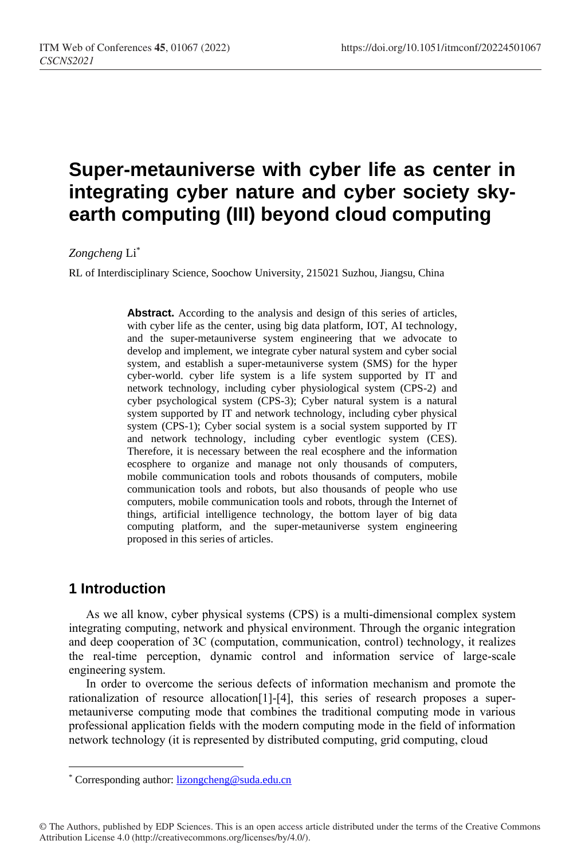# **Super-metauniverse with cyber life as center in integrating cyber nature and cyber society skyearth computing (III) beyond cloud computing**

#### *Zongcheng* Li\*

RL of Interdisciplinary Science, Soochow University, 215021 Suzhou, Jiangsu, China

**Abstract.** According to the analysis and design of this series of articles, with cyber life as the center, using big data platform, IOT, AI technology, and the super-metauniverse system engineering that we advocate to develop and implement, we integrate cyber natural system and cyber social system, and establish a super-metauniverse system (SMS) for the hyper cyber-world. cyber life system is a life system supported by IT and network technology, including cyber physiological system (CPS-2) and cyber psychological system (CPS-3); Cyber natural system is a natural system supported by IT and network technology, including cyber physical system (CPS-1); Cyber social system is a social system supported by IT and network technology, including cyber eventlogic system (CES). Therefore, it is necessary between the real ecosphere and the information ecosphere to organize and manage not only thousands of computers, mobile communication tools and robots thousands of computers, mobile communication tools and robots, but also thousands of people who use computers, mobile communication tools and robots, through the Internet of things, artificial intelligence technology, the bottom layer of big data computing platform, and the super-metauniverse system engineering proposed in this series of articles.

### **1 Introduction**

 $\overline{a}$ 

As we all know, cyber physical systems (CPS) is a multi-dimensional complex system integrating computing, network and physical environment. Through the organic integration and deep cooperation of 3C (computation, communication, control) technology, it realizes the real-time perception, dynamic control and information service of large-scale engineering system.

In order to overcome the serious defects of information mechanism and promote the rationalization of resource allocation[1]-[4], this series of research proposes a supermetauniverse computing mode that combines the traditional computing mode in various professional application fields with the modern computing mode in the field of information network technology (it is represented by distributed computing, grid computing, cloud

<sup>\*</sup> Corresponding author[: lizongcheng@suda.edu.cn](mailto:lizongcheng@suda.edu.cn)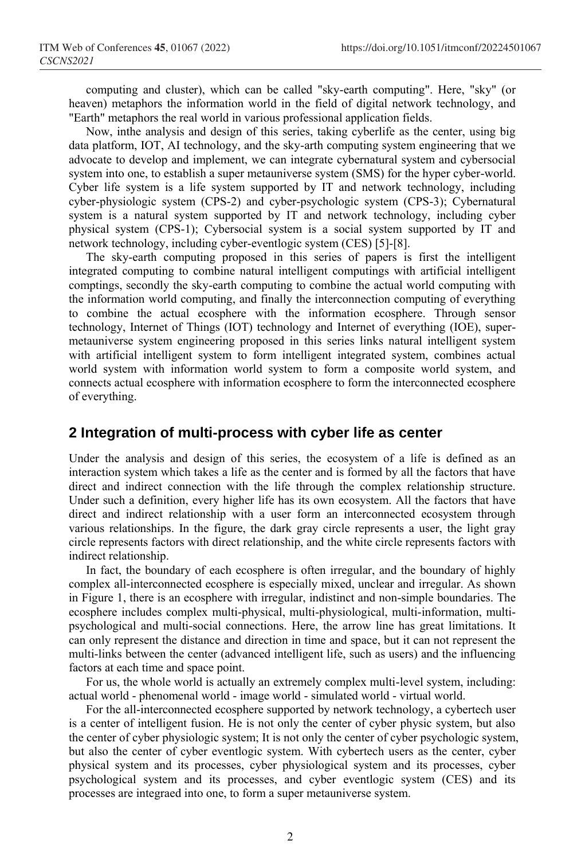computing and cluster), which can be called "sky-earth computing". Here, "sky" (or heaven) metaphors the information world in the field of digital network technology, and "Earth" metaphors the real world in various professional application fields.

Now, inthe analysis and design of this series, taking cyberlife as the center, using big data platform, IOT, AI technology, and the sky-arth computing system engineering that we advocate to develop and implement, we can integrate cybernatural system and cybersocial system into one, to establish a super metauniverse system (SMS) for the hyper cyber-world. Cyber life system is a life system supported by IT and network technology, including cyber-physiologic system (CPS-2) and cyber-psychologic system (CPS-3); Cybernatural system is a natural system supported by IT and network technology, including cyber physical system (CPS-1); Cybersocial system is a social system supported by IT and network technology, including cyber-eventlogic system (CES) [5]-[8].

The sky-earth computing proposed in this series of papers is first the intelligent integrated computing to combine natural intelligent computings with artificial intelligent comptings, secondly the sky-earth computing to combine the actual world computing with the information world computing, and finally the interconnection computing of everything to combine the actual ecosphere with the information ecosphere. Through sensor technology, Internet of Things (IOT) technology and Internet of everything (IOE), supermetauniverse system engineering proposed in this series links natural intelligent system with artificial intelligent system to form intelligent integrated system, combines actual world system with information world system to form a composite world system, and connects actual ecosphere with information ecosphere to form the interconnected ecosphere of everything.

#### **2 Integration of multi-process with cyber life as center**

Under the analysis and design of this series, the ecosystem of a life is defined as an interaction system which takes a life as the center and is formed by all the factors that have direct and indirect connection with the life through the complex relationship structure. Under such a definition, every higher life has its own ecosystem. All the factors that have direct and indirect relationship with a user form an interconnected ecosystem through various relationships. In the figure, the dark gray circle represents a user, the light gray circle represents factors with direct relationship, and the white circle represents factors with indirect relationship.

In fact, the boundary of each ecosphere is often irregular, and the boundary of highly complex all-interconnected ecosphere is especially mixed, unclear and irregular. As shown in Figure 1, there is an ecosphere with irregular, indistinct and non-simple boundaries. The ecosphere includes complex multi-physical, multi-physiological, multi-information, multipsychological and multi-social connections. Here, the arrow line has great limitations. It can only represent the distance and direction in time and space, but it can not represent the multi-links between the center (advanced intelligent life, such as users) and the influencing factors at each time and space point.

For us, the whole world is actually an extremely complex multi-level system, including: actual world - phenomenal world - image world - simulated world - virtual world.

For the all-interconnected ecosphere supported by network technology, a cybertech user is a center of intelligent fusion. He is not only the center of cyber physic system, but also the center of cyber physiologic system; It is not only the center of cyber psychologic system, but also the center of cyber eventlogic system. With cybertech users as the center, cyber physical system and its processes, cyber physiological system and its processes, cyber psychological system and its processes, and cyber eventlogic system (CES) and its processes are integraed into one, to form a super metauniverse system.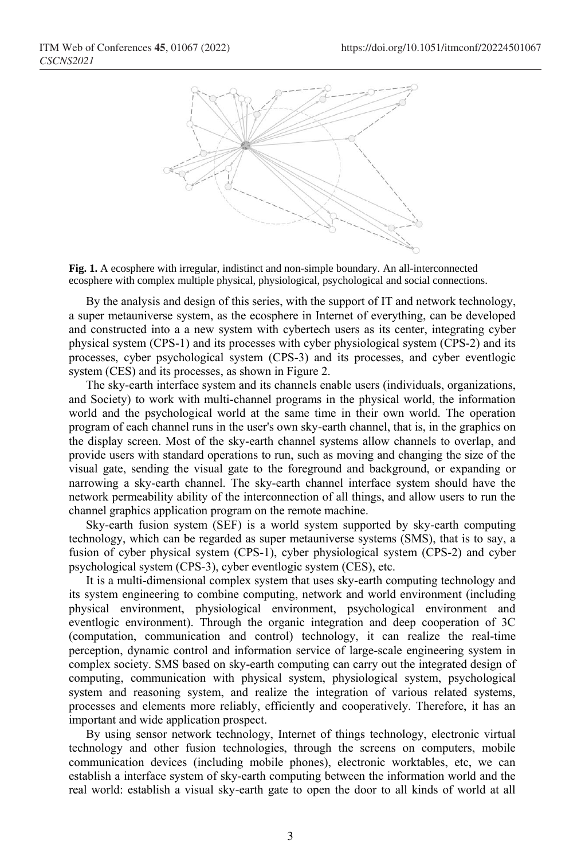



By the analysis and design of this series, with the support of IT and network technology, a super metauniverse system, as the ecosphere in Internet of everything, can be developed and constructed into a a new system with cybertech users as its center, integrating cyber physical system (CPS-1) and its processes with cyber physiological system (CPS-2) and its processes, cyber psychological system (CPS-3) and its processes, and cyber eventlogic system (CES) and its processes, as shown in Figure 2.

The sky-earth interface system and its channels enable users (individuals, organizations, and Society) to work with multi-channel programs in the physical world, the information world and the psychological world at the same time in their own world. The operation program of each channel runs in the user's own sky-earth channel, that is, in the graphics on the display screen. Most of the sky-earth channel systems allow channels to overlap, and provide users with standard operations to run, such as moving and changing the size of the visual gate, sending the visual gate to the foreground and background, or expanding or narrowing a sky-earth channel. The sky-earth channel interface system should have the network permeability ability of the interconnection of all things, and allow users to run the channel graphics application program on the remote machine.

Sky-earth fusion system (SEF) is a world system supported by sky-earth computing technology, which can be regarded as super metauniverse systems (SMS), that is to say, a fusion of cyber physical system (CPS-1), cyber physiological system (CPS-2) and cyber psychological system (CPS-3), cyber eventlogic system (CES), etc.

It is a multi-dimensional complex system that uses sky-earth computing technology and its system engineering to combine computing, network and world environment (including physical environment, physiological environment, psychological environment and eventlogic environment). Through the organic integration and deep cooperation of 3C (computation, communication and control) technology, it can realize the real-time perception, dynamic control and information service of large-scale engineering system in complex society. SMS based on sky-earth computing can carry out the integrated design of computing, communication with physical system, physiological system, psychological system and reasoning system, and realize the integration of various related systems, processes and elements more reliably, efficiently and cooperatively. Therefore, it has an important and wide application prospect.

By using sensor network technology, Internet of things technology, electronic virtual technology and other fusion technologies, through the screens on computers, mobile communication devices (including mobile phones), electronic worktables, etc, we can establish a interface system of sky-earth computing between the information world and the real world: establish a visual sky-earth gate to open the door to all kinds of world at all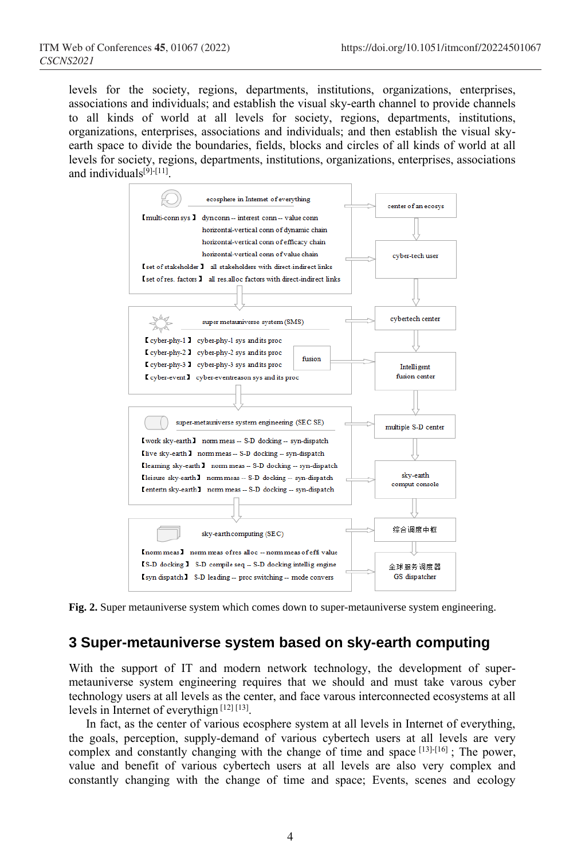levels for the society, regions, departments, institutions, organizations, enterprises, associations and individuals; and establish the visual sky-earth channel to provide channels to all kinds of world at all levels for society, regions, departments, institutions, organizations, enterprises, associations and individuals; and then establish the visual skyearth space to divide the boundaries, fields, blocks and circles of all kinds of world at all levels for society, regions, departments, institutions, organizations, enterprises, associations and individuals<sup>[9]-[11]</sup>.



**Fig. 2.** Super metauniverse system which comes down to super-metauniverse system engineering.

## **3 Super-metauniverse system based on sky-earth computing**

With the support of IT and modern network technology, the development of supermetauniverse system engineering requires that we should and must take varous cyber technology users at all levels as the center, and face varous interconnected ecosystems at all levels in Internet of everythign<sup>[12][13]</sup>.

In fact, as the center of various ecosphere system at all levels in Internet of everything, the goals, perception, supply-demand of various cybertech users at all levels are very complex and constantly changing with the change of time and space [13]-[16]; The power, value and benefit of various cybertech users at all levels are also very complex and constantly changing with the change of time and space; Events, scenes and ecology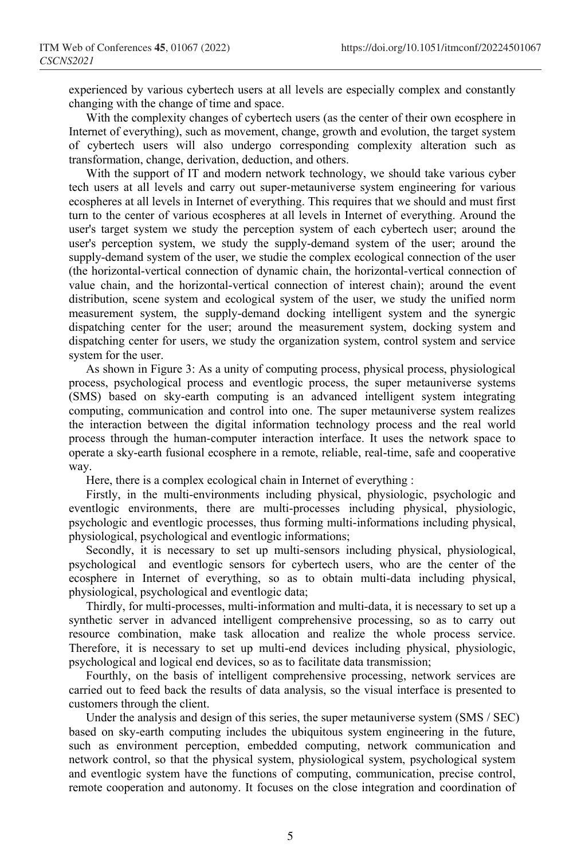experienced by various cybertech users at all levels are especially complex and constantly changing with the change of time and space.

With the complexity changes of cybertech users (as the center of their own ecosphere in Internet of everything), such as movement, change, growth and evolution, the target system of cybertech users will also undergo corresponding complexity alteration such as transformation, change, derivation, deduction, and others.

With the support of IT and modern network technology, we should take various cyber tech users at all levels and carry out super-metauniverse system engineering for various ecospheres at all levels in Internet of everything. This requires that we should and must first turn to the center of various ecospheres at all levels in Internet of everything. Around the user's target system we study the perception system of each cybertech user; around the user's perception system, we study the supply-demand system of the user; around the supply-demand system of the user, we studie the complex ecological connection of the user (the horizontal-vertical connection of dynamic chain, the horizontal-vertical connection of value chain, and the horizontal-vertical connection of interest chain); around the event distribution, scene system and ecological system of the user, we study the unified norm measurement system, the supply-demand docking intelligent system and the synergic dispatching center for the user; around the measurement system, docking system and dispatching center for users, we study the organization system, control system and service system for the user.

As shown in Figure 3: As a unity of computing process, physical process, physiological process, psychological process and eventlogic process, the super metauniverse systems (SMS) based on sky-earth computing is an advanced intelligent system integrating computing, communication and control into one. The super metauniverse system realizes the interaction between the digital information technology process and the real world process through the human-computer interaction interface. It uses the network space to operate a sky-earth fusional ecosphere in a remote, reliable, real-time, safe and cooperative way.

Here, there is a complex ecological chain in Internet of everything :

Firstly, in the multi-environments including physical, physiologic, psychologic and eventlogic environments, there are multi-processes including physical, physiologic, psychologic and eventlogic processes, thus forming multi-informations including physical, physiological, psychological and eventlogic informations;

Secondly, it is necessary to set up multi-sensors including physical, physiological, psychological and eventlogic sensors for cybertech users, who are the center of the ecosphere in Internet of everything, so as to obtain multi-data including physical, physiological, psychological and eventlogic data;

Thirdly, for multi-processes, multi-information and multi-data, it is necessary to set up a synthetic server in advanced intelligent comprehensive processing, so as to carry out resource combination, make task allocation and realize the whole process service. Therefore, it is necessary to set up multi-end devices including physical, physiologic, psychological and logical end devices, so as to facilitate data transmission;

Fourthly, on the basis of intelligent comprehensive processing, network services are carried out to feed back the results of data analysis, so the visual interface is presented to customers through the client.

Under the analysis and design of this series, the super metauniverse system (SMS / SEC) based on sky-earth computing includes the ubiquitous system engineering in the future, such as environment perception, embedded computing, network communication and network control, so that the physical system, physiological system, psychological system and eventlogic system have the functions of computing, communication, precise control, remote cooperation and autonomy. It focuses on the close integration and coordination of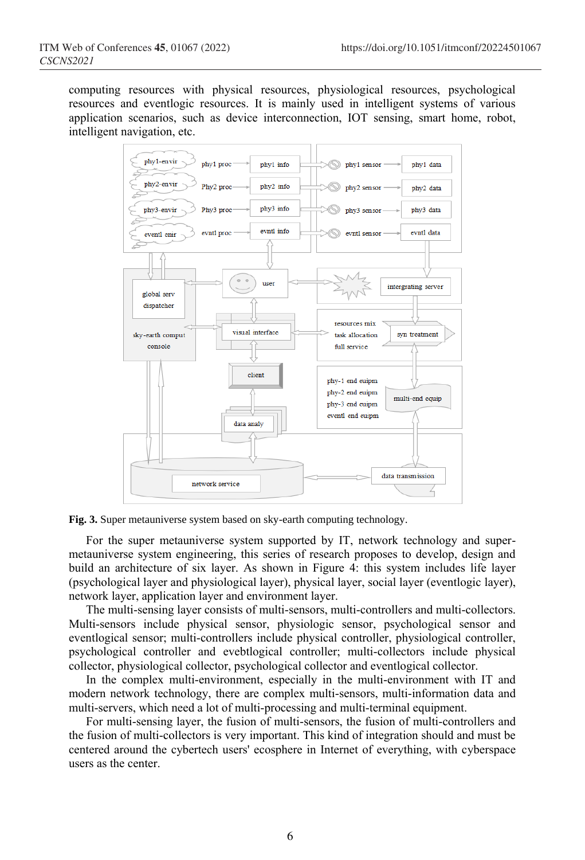computing resources with physical resources, physiological resources, psychological resources and eventlogic resources. It is mainly used in intelligent systems of various application scenarios, such as device interconnection, IOT sensing, smart home, robot, intelligent navigation, etc.





For the super metauniverse system supported by IT, network technology and supermetauniverse system engineering, this series of research proposes to develop, design and build an architecture of six layer. As shown in Figure 4: this system includes life layer (psychological layer and physiological layer), physical layer, social layer (eventlogic layer), network layer, application layer and environment layer.

The multi-sensing layer consists of multi-sensors, multi-controllers and multi-collectors. Multi-sensors include physical sensor, physiologic sensor, psychological sensor and eventlogical sensor; multi-controllers include physical controller, physiological controller, psychological controller and evebtlogical controller; multi-collectors include physical collector, physiological collector, psychological collector and eventlogical collector.

In the complex multi-environment, especially in the multi-environment with IT and modern network technology, there are complex multi-sensors, multi-information data and multi-servers, which need a lot of multi-processing and multi-terminal equipment.

For multi-sensing layer, the fusion of multi-sensors, the fusion of multi-controllers and the fusion of multi-collectors is very important. This kind of integration should and must be centered around the cybertech users' ecosphere in Internet of everything, with cyberspace users as the center.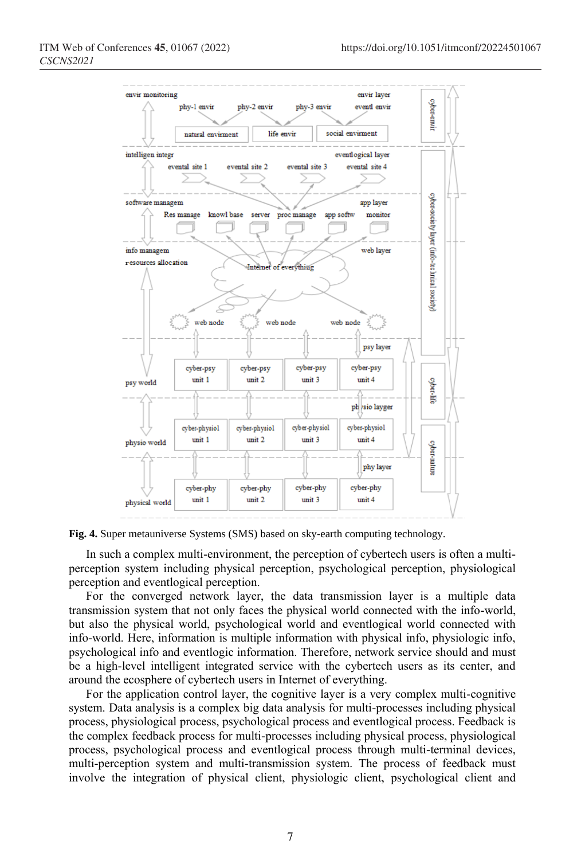

**Fig. 4.** Super metauniverse Systems (SMS) based on sky-earth computing technology.

In such a complex multi-environment, the perception of cybertech users is often a multiperception system including physical perception, psychological perception, physiological perception and eventlogical perception.

For the converged network layer, the data transmission layer is a multiple data transmission system that not only faces the physical world connected with the info-world, but also the physical world, psychological world and eventlogical world connected with info-world. Here, information is multiple information with physical info, physiologic info, psychological info and eventlogic information. Therefore, network service should and must be a high-level intelligent integrated service with the cybertech users as its center, and around the ecosphere of cybertech users in Internet of everything.

For the application control layer, the cognitive layer is a very complex multi-cognitive system. Data analysis is a complex big data analysis for multi-processes including physical process, physiological process, psychological process and eventlogical process. Feedback is the complex feedback process for multi-processes including physical process, physiological process, psychological process and eventlogical process through multi-terminal devices, multi-perception system and multi-transmission system. The process of feedback must involve the integration of physical client, physiologic client, psychological client and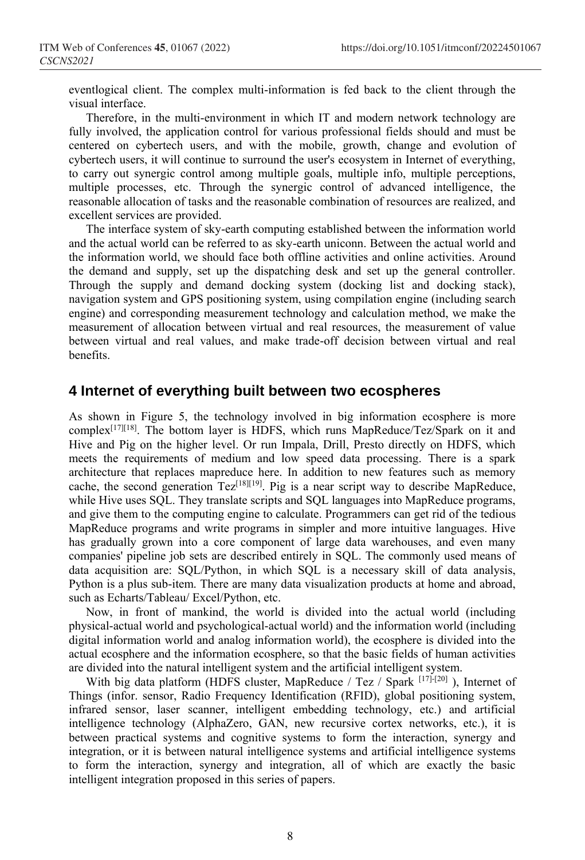eventlogical client. The complex multi-information is fed back to the client through the visual interface.

Therefore, in the multi-environment in which IT and modern network technology are fully involved, the application control for various professional fields should and must be centered on cybertech users, and with the mobile, growth, change and evolution of cybertech users, it will continue to surround the user's ecosystem in Internet of everything, to carry out synergic control among multiple goals, multiple info, multiple perceptions, multiple processes, etc. Through the synergic control of advanced intelligence, the reasonable allocation of tasks and the reasonable combination of resources are realized, and excellent services are provided.

The interface system of sky-earth computing established between the information world and the actual world can be referred to as sky-earth uniconn. Between the actual world and the information world, we should face both offline activities and online activities. Around the demand and supply, set up the dispatching desk and set up the general controller. Through the supply and demand docking system (docking list and docking stack), navigation system and GPS positioning system, using compilation engine (including search engine) and corresponding measurement technology and calculation method, we make the measurement of allocation between virtual and real resources, the measurement of value between virtual and real values, and make trade-off decision between virtual and real benefits.

#### **4 Internet of everything built between two ecospheres**

As shown in Figure 5, the technology involved in big information ecosphere is more complex<sup>[17][18]</sup>. The bottom layer is HDFS, which runs MapReduce/Tez/Spark on it and Hive and Pig on the higher level. Or run Impala, Drill, Presto directly on HDFS, which meets the requirements of medium and low speed data processing. There is a spark architecture that replaces mapreduce here. In addition to new features such as memory cache, the second generation  $Tez^{[18][19]}$ . Pig is a near script way to describe MapReduce, while Hive uses SQL. They translate scripts and SQL languages into MapReduce programs, and give them to the computing engine to calculate. Programmers can get rid of the tedious MapReduce programs and write programs in simpler and more intuitive languages. Hive has gradually grown into a core component of large data warehouses, and even many companies' pipeline job sets are described entirely in SQL. The commonly used means of data acquisition are: SQL/Python, in which SQL is a necessary skill of data analysis, Python is a plus sub-item. There are many data visualization products at home and abroad, such as Echarts/Tableau/ Excel/Python, etc.

Now, in front of mankind, the world is divided into the actual world (including physical-actual world and psychological-actual world) and the information world (including digital information world and analog information world), the ecosphere is divided into the actual ecosphere and the information ecosphere, so that the basic fields of human activities are divided into the natural intelligent system and the artificial intelligent system.

With big data platform (HDFS cluster, MapReduce / Tez / Spark [17]-[20] ), Internet of Things (infor. sensor, Radio Frequency Identification (RFID), global positioning system, infrared sensor, laser scanner, intelligent embedding technology, etc.) and artificial intelligence technology (AlphaZero, GAN, new recursive cortex networks, etc.), it is between practical systems and cognitive systems to form the interaction, synergy and integration, or it is between natural intelligence systems and artificial intelligence systems to form the interaction, synergy and integration, all of which are exactly the basic intelligent integration proposed in this series of papers.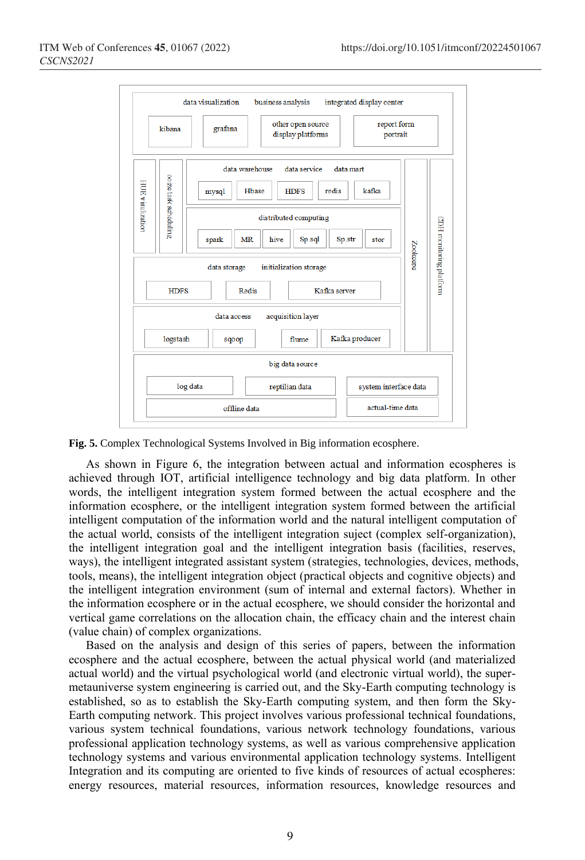

**Fig. 5.** Complex Technological Systems Involved in Big information ecosphere.

As shown in Figure 6, the integration between actual and information ecospheres is achieved through IOT, artificial intelligence technology and big data platform. In other words, the intelligent integration system formed between the actual ecosphere and the information ecosphere, or the intelligent integration system formed between the artificial intelligent computation of the information world and the natural intelligent computation of the actual world, consists of the intelligent integration suject (complex self-organization), the intelligent integration goal and the intelligent integration basis (facilities, reserves, ways), the intelligent integrated assistant system (strategies, technologies, devices, methods, tools, means), the intelligent integration object (practical objects and cognitive objects) and the intelligent integration environment (sum of internal and external factors). Whether in the information ecosphere or in the actual ecosphere, we should consider the horizontal and vertical game correlations on the allocation chain, the efficacy chain and the interest chain (value chain) of complex organizations.

Based on the analysis and design of this series of papers, between the information ecosphere and the actual ecosphere, between the actual physical world (and materialized actual world) and the virtual psychological world (and electronic virtual world), the supermetauniverse system engineering is carried out, and the Sky-Earth computing technology is established, so as to establish the Sky-Earth computing system, and then form the Sky-Earth computing network. This project involves various professional technical foundations, various system technical foundations, various network technology foundations, various professional application technology systems, as well as various comprehensive application technology systems and various environmental application technology systems. Intelligent Integration and its computing are oriented to five kinds of resources of actual ecospheres: energy resources, material resources, information resources, knowledge resources and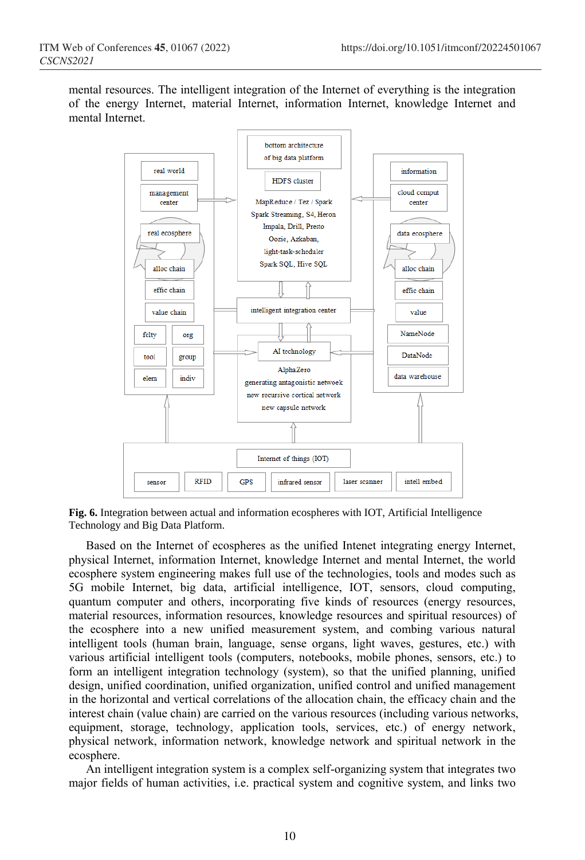mental resources. The intelligent integration of the Internet of everything is the integration of the energy Internet, material Internet, information Internet, knowledge Internet and mental Internet.



**Fig. 6.** Integration between actual and information ecospheres with IOT, Artificial Intelligence Technology and Big Data Platform.

Based on the Internet of ecospheres as the unified Intenet integrating energy Internet, physical Internet, information Internet, knowledge Internet and mental Internet, the world ecosphere system engineering makes full use of the technologies, tools and modes such as 5G mobile Internet, big data, artificial intelligence, IOT, sensors, cloud computing, quantum computer and others, incorporating five kinds of resources (energy resources, material resources, information resources, knowledge resources and spiritual resources) of the ecosphere into a new unified measurement system, and combing various natural intelligent tools (human brain, language, sense organs, light waves, gestures, etc.) with various artificial intelligent tools (computers, notebooks, mobile phones, sensors, etc.) to form an intelligent integration technology (system), so that the unified planning, unified design, unified coordination, unified organization, unified control and unified management in the horizontal and vertical correlations of the allocation chain, the efficacy chain and the interest chain (value chain) are carried on the various resources (including various networks, equipment, storage, technology, application tools, services, etc.) of energy network, physical network, information network, knowledge network and spiritual network in the ecosphere.

An intelligent integration system is a complex self-organizing system that integrates two major fields of human activities, i.e. practical system and cognitive system, and links two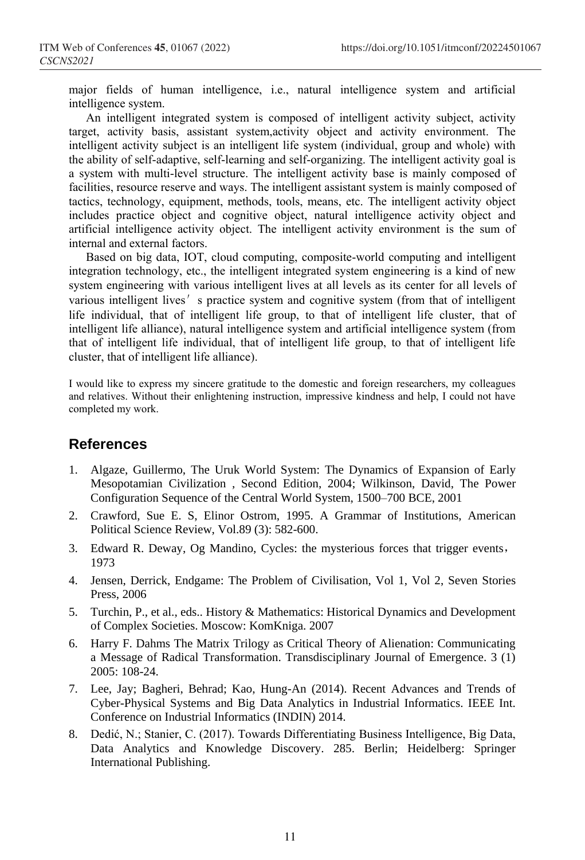major fields of human intelligence, i.e., natural intelligence system and artificial intelligence system.

An intelligent integrated system is composed of intelligent activity subject, activity target, activity basis, assistant system,activity object and activity environment. The intelligent activity subject is an intelligent life system (individual, group and whole) with the ability of self-adaptive, self-learning and self-organizing. The intelligent activity goal is a system with multi-level structure. The intelligent activity base is mainly composed of facilities, resource reserve and ways. The intelligent assistant system is mainly composed of tactics, technology, equipment, methods, tools, means, etc. The intelligent activity object includes practice object and cognitive object, natural intelligence activity object and artificial intelligence activity object. The intelligent activity environment is the sum of internal and external factors.

Based on big data, IOT, cloud computing, composite-world computing and intelligent integration technology, etc., the intelligent integrated system engineering is a kind of new system engineering with various intelligent lives at all levels as its center for all levels of various intelligent lives' s practice system and cognitive system (from that of intelligent life individual, that of intelligent life group, to that of intelligent life cluster, that of intelligent life alliance), natural intelligence system and artificial intelligence system (from that of intelligent life individual, that of intelligent life group, to that of intelligent life cluster, that of intelligent life alliance).

I would like to express my sincere gratitude to the domestic and foreign researchers, my colleagues and relatives. Without their enlightening instruction, impressive kindness and help, I could not have completed my work.

### **References**

- 1. Algaze, Guillermo, The Uruk World System: The Dynamics of Expansion of Early Mesopotamian Civilization , Second Edition, 2004; Wilkinson, David, The Power Configuration Sequence of the Central World System, 1500–700 BCE, 2001
- 2. Crawford, Sue E. S, Elinor Ostrom, 1995. A Grammar of Institutions, American Political Science Review, Vol.89 (3): 582-600.
- 3. Edward R. Deway, Og Mandino, Cycles: the mysterious forces that trigger events, 1973
- 4. Jensen, Derrick, Endgame: The Problem of Civilisation, Vol 1, Vol 2, Seven Stories Press, 2006
- 5. Turchin, P., et al., eds.. History & Mathematics: Historical Dynamics and Development of Complex Societies. Moscow: KomKniga. 2007
- 6. Harry F. Dahms The Matrix Trilogy as Critical Theory of Alienation: Communicating a Message of Radical Transformation. Transdisciplinary Journal of Emergence. 3 (1) 2005: 108-24.
- 7. Lee, Jay; Bagheri, Behrad; Kao, Hung-An (2014). Recent Advances and Trends of Cyber-Physical Systems and Big Data Analytics in Industrial Informatics. IEEE Int. Conference on Industrial Informatics (INDIN) 2014.
- 8. Dedić, N.; Stanier, C. (2017). Towards Differentiating Business Intelligence, Big Data, Data Analytics and Knowledge Discovery. 285. Berlin; Heidelberg: Springer International Publishing.